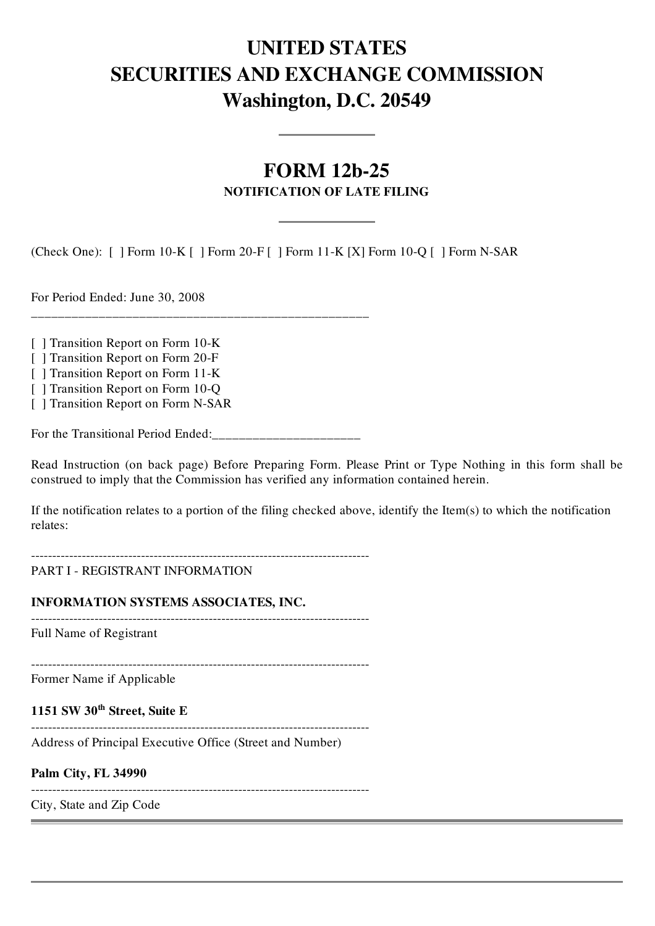# UNITED STATES SECURITIES AND EXCHANGE COMMISSION Washington, D.C. 20549

## FORM 12b-25 NOTIFICATION OF LATE FILING

(Check One): [ ] Form 10-K [ ] Form 20-F [ ] Form 11-K [X] Form 10-Q [ ] Form N-SAR

For Period Ended: June 30, 2008

[ ] Transition Report on Form 10-K

[ ] Transition Report on Form 20-F

[ ] Transition Report on Form 11-K

[ ] Transition Report on Form 10-Q

[ ] Transition Report on Form N-SAR

For the Transitional Period Ended:

\_\_\_\_\_\_\_\_\_\_\_\_\_\_\_\_\_\_\_\_\_\_\_\_\_\_\_\_\_\_\_\_\_\_\_\_\_\_\_\_\_\_\_\_\_\_\_\_\_\_

Read Instruction (on back page) Before Preparing Form. Please Print or Type Nothing in this form shall be construed to imply that the Commission has verified any information contained herein.

If the notification relates to a portion of the filing checked above, identify the Item(s) to which the notification relates:

-------------------------------------------------------------------------------- PART I - REGISTRANT INFORMATION

INFORMATION SYSTEMS ASSOCIATES, INC.

--------------------------------------------------------------------------------

Full Name of Registrant

--------------------------------------------------------------------------------

Former Name if Applicable

1151 SW 30<sup>th</sup> Street, Suite E

--------------------------------------------------------------------------------

Address of Principal Executive Office (Street and Number)

Palm City, FL 34990

--------------------------------------------------------------------------------

City, State and Zip Code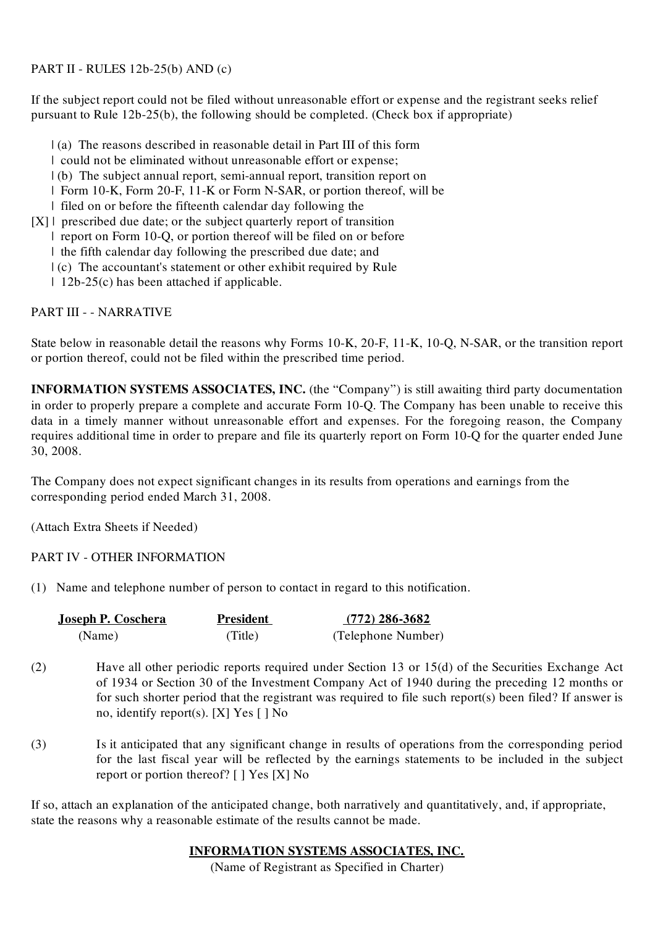#### PART II - RULES 12b-25(b) AND (c)

If the subject report could not be filed without unreasonable effort or expense and the registrant seeks relief pursuant to Rule 12b-25(b), the following should be completed. (Check box if appropriate)

- | (a) The reasons described in reasonable detail in Part III of this form
- | could not be eliminated without unreasonable effort or expense;
- | (b) The subject annual report, semi-annual report, transition report on
- | Form 10-K, Form 20-F, 11-K or Form N-SAR, or portion thereof, will be
- | filed on or before the fifteenth calendar day following the
- $[X]$  | prescribed due date; or the subject quarterly report of transition | report on Form 10-Q, or portion thereof will be filed on or before
	- | the fifth calendar day following the prescribed due date; and
	-
	- | (c) The accountant's statement or other exhibit required by Rule
	- | 12b-25(c) has been attached if applicable.

### PART III - - NARRATIVE

State below in reasonable detail the reasons why Forms 10-K, 20-F, 11-K, 10-Q, N-SAR, or the transition report or portion thereof, could not be filed within the prescribed time period.

INFORMATION SYSTEMS ASSOCIATES, INC. (the "Company") is still awaiting third party documentation in order to properly prepare a complete and accurate Form 10-Q. The Company has been unable to receive this data in a timely manner without unreasonable effort and expenses. For the foregoing reason, the Company requires additional time in order to prepare and file its quarterly report on Form 10-Q for the quarter ended June 30, 2008.

The Company does not expect significant changes in its results from operations and earnings from the corresponding period ended March 31, 2008.

(Attach Extra Sheets if Needed)

### PART IV - OTHER INFORMATION

(1) Name and telephone number of person to contact in regard to this notification.

| <u>Joseph P. Coschera</u> | <b>President</b> | $(772)$ 286-3682   |
|---------------------------|------------------|--------------------|
| (Name)                    | (Title)          | (Telephone Number) |

- (2) Have all other periodic reports required under Section 13 or 15(d) of the Securities Exchange Act of 1934 or Section 30 of the Investment Company Act of 1940 during the preceding 12 months or for such shorter period that the registrant was required to file such report(s) been filed? If answer is no, identify report(s). [X] Yes [ ] No
- (3) Is it anticipated that any significant change in results of operations from the corresponding period for the last fiscal year will be reflected by the earnings statements to be included in the subject report or portion thereof? [ ] Yes [X] No

If so, attach an explanation of the anticipated change, both narratively and quantitatively, and, if appropriate, state the reasons why a reasonable estimate of the results cannot be made.

### INFORMATION SYSTEMS ASSOCIATES, INC.

(Name of Registrant as Specified in Charter)